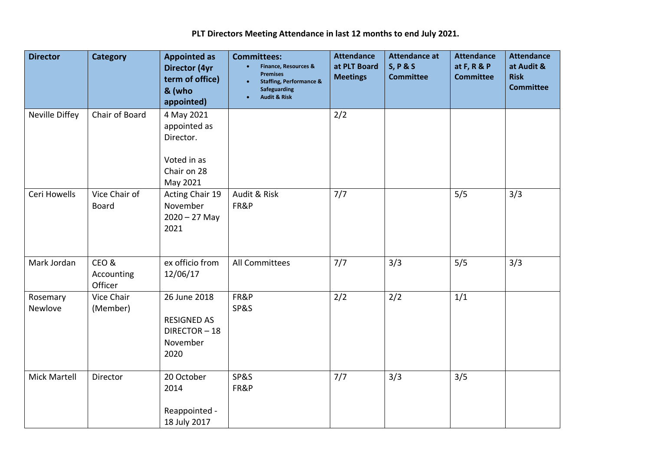**PLT Directors Meeting Attendance in last 12 months to end July 2021.** 

| <b>Director</b>     | <b>Category</b>               | <b>Appointed as</b><br><b>Director (4yr</b><br>term of office)<br>& (who<br>appointed) | <b>Committees:</b><br><b>Finance, Resources &amp;</b><br><b>Premises</b><br><b>Staffing, Performance &amp;</b><br><b>Safeguarding</b><br><b>Audit &amp; Risk</b> | <b>Attendance</b><br>at PLT Board<br><b>Meetings</b> | <b>Attendance at</b><br><b>S, P &amp; S</b><br><b>Committee</b> | <b>Attendance</b><br>at $F, R & P$<br><b>Committee</b> | <b>Attendance</b><br>at Audit &<br><b>Risk</b><br><b>Committee</b> |
|---------------------|-------------------------------|----------------------------------------------------------------------------------------|------------------------------------------------------------------------------------------------------------------------------------------------------------------|------------------------------------------------------|-----------------------------------------------------------------|--------------------------------------------------------|--------------------------------------------------------------------|
| Neville Diffey      | Chair of Board                | 4 May 2021<br>appointed as<br>Director.<br>Voted in as<br>Chair on 28<br>May 2021      |                                                                                                                                                                  | 2/2                                                  |                                                                 |                                                        |                                                                    |
| Ceri Howells        | Vice Chair of<br><b>Board</b> | Acting Chair 19<br>November<br>$2020 - 27$ May<br>2021                                 | Audit & Risk<br>FR&P                                                                                                                                             | 7/7                                                  |                                                                 | 5/5                                                    | 3/3                                                                |
| Mark Jordan         | CEO&<br>Accounting<br>Officer | ex officio from<br>12/06/17                                                            | <b>All Committees</b>                                                                                                                                            | 7/7                                                  | 3/3                                                             | 5/5                                                    | 3/3                                                                |
| Rosemary<br>Newlove | Vice Chair<br>(Member)        | 26 June 2018<br><b>RESIGNED AS</b><br>DIRECTOR-18<br>November<br>2020                  | FR&P<br>SP&S                                                                                                                                                     | 2/2                                                  | 2/2                                                             | 1/1                                                    |                                                                    |
| <b>Mick Martell</b> | Director                      | 20 October<br>2014<br>Reappointed -<br>18 July 2017                                    | SP&S<br>FR&P                                                                                                                                                     | 7/7                                                  | 3/3                                                             | 3/5                                                    |                                                                    |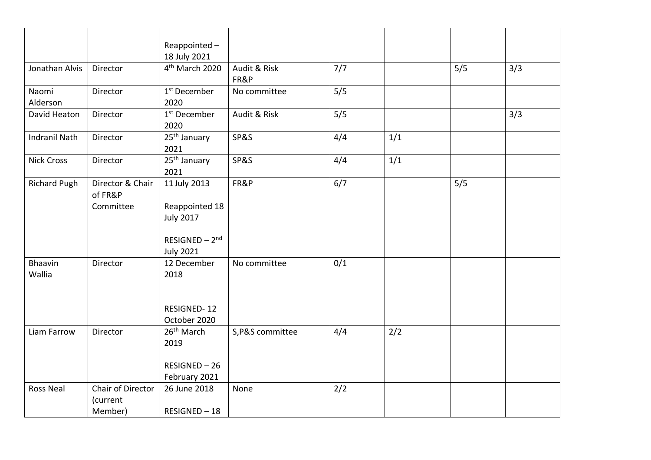|                      |                             | Reappointed-                          |                  |     |     |     |     |
|----------------------|-----------------------------|---------------------------------------|------------------|-----|-----|-----|-----|
|                      |                             | 18 July 2021                          |                  |     |     |     |     |
| Jonathan Alvis       | Director                    | 4 <sup>th</sup> March 2020            | Audit & Risk     | 7/7 |     | 5/5 | 3/3 |
|                      |                             |                                       | FR&P             |     |     |     |     |
| Naomi                | Director                    | 1 <sup>st</sup> December              | No committee     | 5/5 |     |     |     |
| Alderson             |                             | 2020                                  |                  |     |     |     |     |
| David Heaton         | Director                    | 1 <sup>st</sup> December              | Audit & Risk     | 5/5 |     |     | 3/3 |
|                      |                             | 2020                                  |                  |     |     |     |     |
| <b>Indranil Nath</b> | Director                    | 25 <sup>th</sup> January              | SP&S             | 4/4 | 1/1 |     |     |
|                      |                             | 2021                                  |                  |     |     |     |     |
| <b>Nick Cross</b>    | Director                    | $\overline{25}$ <sup>th</sup> January | SP&S             | 4/4 | 1/1 |     |     |
|                      |                             | 2021                                  |                  |     |     |     |     |
| <b>Richard Pugh</b>  | Director & Chair<br>of FR&P | 11 July 2013                          | FR&P             | 6/7 |     | 5/5 |     |
|                      | Committee                   | Reappointed 18                        |                  |     |     |     |     |
|                      |                             | <b>July 2017</b>                      |                  |     |     |     |     |
|                      |                             |                                       |                  |     |     |     |     |
|                      |                             | $RESIGNED-2nd$                        |                  |     |     |     |     |
|                      |                             | <b>July 2021</b>                      |                  |     |     |     |     |
| Bhaavin<br>Wallia    | Director                    | 12 December<br>2018                   | No committee     | 0/1 |     |     |     |
|                      |                             |                                       |                  |     |     |     |     |
|                      |                             |                                       |                  |     |     |     |     |
|                      |                             | <b>RESIGNED-12</b>                    |                  |     |     |     |     |
|                      |                             | October 2020                          |                  |     |     |     |     |
| Liam Farrow          | Director                    | 26 <sup>th</sup> March                | S, P&S committee | 4/4 | 2/2 |     |     |
|                      |                             | 2019                                  |                  |     |     |     |     |
|                      |                             |                                       |                  |     |     |     |     |
|                      |                             | RESIGNED-26                           |                  |     |     |     |     |
|                      |                             | February 2021                         |                  |     |     |     |     |
| Ross Neal            | Chair of Director           | 26 June 2018                          | None             | 2/2 |     |     |     |
|                      | (current                    |                                       |                  |     |     |     |     |
|                      | Member)                     | RESIGNED-18                           |                  |     |     |     |     |